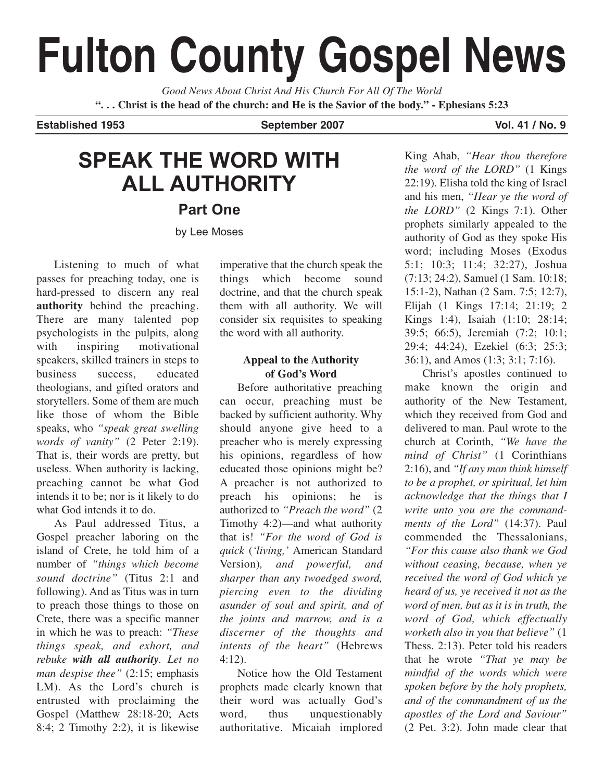# **Fulton County Gospel News**

*Good News About Christ And His Church For All Of The World* **". . . Christ is the head of the church: and He is the Savior of the body." - Ephesians 5:23**

Established 1953 **September 2007** Vol. 41 / No. 9

## **SPEAK THE WORD WITH ALL AUTHORITY**

**Part One**

by Lee Moses

Listening to much of what passes for preaching today, one is hard-pressed to discern any real **authority** behind the preaching. There are many talented pop psychologists in the pulpits, along with inspiring motivational speakers, skilled trainers in steps to business success, educated theologians, and gifted orators and storytellers. Some of them are much like those of whom the Bible speaks, who *"speak great swelling words of vanity"* (2 Peter 2:19). That is, their words are pretty, but useless. When authority is lacking, preaching cannot be what God intends it to be; nor is it likely to do what God intends it to do.

As Paul addressed Titus, a Gospel preacher laboring on the island of Crete, he told him of a number of *"things which become sound doctrine"* (Titus 2:1 and following). And as Titus was in turn to preach those things to those on Crete, there was a specific manner in which he was to preach: *"These things speak, and exhort, and rebuke with all authority. Let no man despise thee"* (2:15; emphasis LM). As the Lord's church is entrusted with proclaiming the Gospel (Matthew 28:18-20; Acts 8:4; 2 Timothy 2:2), it is likewise imperative that the church speak the things which become sound doctrine, and that the church speak them with all authority. We will consider six requisites to speaking the word with all authority.

#### **Appeal to the Authority of God's Word**

Before authoritative preaching can occur, preaching must be backed by sufficient authority. Why should anyone give heed to a preacher who is merely expressing his opinions, regardless of how educated those opinions might be? A preacher is not authorized to preach his opinions; he is authorized to *"Preach the word"* (2 Timothy 4:2)—and what authority that is! *"For the word of God is quick* (*'living,'* American Standard Version)*, and powerful, and sharper than any twoedged sword, piercing even to the dividing asunder of soul and spirit, and of the joints and marrow, and is a discerner of the thoughts and intents of the heart"* (Hebrews 4:12).

Notice how the Old Testament prophets made clearly known that their word was actually God's word, thus unquestionably authoritative. Micaiah implored

King Ahab, *"Hear thou therefore the word of the LORD"* (1 Kings 22:19). Elisha told the king of Israel and his men, *"Hear ye the word of the LORD"* (2 Kings 7:1). Other prophets similarly appealed to the authority of God as they spoke His word; including Moses (Exodus 5:1; 10:3; 11:4; 32:27), Joshua (7:13; 24:2), Samuel (1 Sam. 10:18; 15:1-2), Nathan (2 Sam. 7:5; 12:7), Elijah (1 Kings 17:14; 21:19; 2 Kings 1:4), Isaiah (1:10; 28:14; 39:5; 66:5), Jeremiah (7:2; 10:1; 29:4; 44:24), Ezekiel (6:3; 25:3; 36:1), and Amos (1:3; 3:1; 7:16).

Christ's apostles continued to make known the origin and authority of the New Testament, which they received from God and delivered to man. Paul wrote to the church at Corinth, *"We have the mind of Christ"* (1 Corinthians 2:16), and *"If any man think himself to be a prophet, or spiritual, let him acknowledge that the things that I write unto you are the commandments of the Lord"* (14:37). Paul commended the Thessalonians, *"For this cause also thank we God without ceasing, because, when ye received the word of God which ye heard of us, ye received it not as the word of men, but as it is in truth, the word of God, which effectually worketh also in you that believe"* (1 Thess. 2:13). Peter told his readers that he wrote *"That ye may be mindful of the words which were spoken before by the holy prophets, and of the commandment of us the apostles of the Lord and Saviour"* (2 Pet. 3:2). John made clear that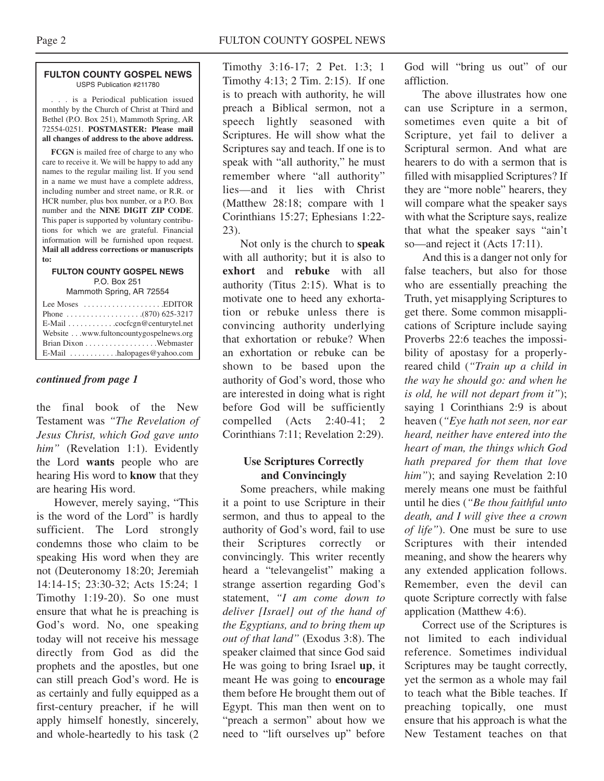#### **FULTON COUNTY GOSPEL NEWS** USPS Publication #211780

. . . is a Periodical publication issued monthly by the Church of Christ at Third and Bethel (P.O. Box 251), Mammoth Spring, AR 72554-0251. **POSTMASTER: Please mail all changes of address to the above address.**

**FCGN** is mailed free of charge to any who care to receive it. We will be happy to add any names to the regular mailing list. If you send in a name we must have a complete address, including number and street name, or R.R. or HCR number, plus box number, or a P.O. Box number and the **NINE DIGIT ZIP CODE**. This paper is supported by voluntary contributions for which we are grateful. Financial information will be furnished upon request. **Mail all address corrections or manuscripts to:**

#### **FULTON COUNTY GOSPEL NEWS** P.O. Box 251

Mammoth Spring, AR 72554

| Lee Moses $\dots\dots\dots\dots\dots\dots$ . EDITOR       |  |
|-----------------------------------------------------------|--|
|                                                           |  |
| $E$ -Mail $\ldots \ldots \ldots$ . cocfcgn@centurytel.net |  |
| Website www.fultoncountygospelnews.org                    |  |
|                                                           |  |
| $E$ -Mail $\ldots \ldots \ldots$ halopages @ yahoo.com    |  |

#### *continued from page 1*

the final book of the New Testament was *"The Revelation of Jesus Christ, which God gave unto him"* (Revelation 1:1). Evidently the Lord **wants** people who are hearing His word to **know** that they are hearing His word.

However, merely saying, "This is the word of the Lord" is hardly sufficient. The Lord strongly condemns those who claim to be speaking His word when they are not (Deuteronomy 18:20; Jeremiah 14:14-15; 23:30-32; Acts 15:24; 1 Timothy 1:19-20). So one must ensure that what he is preaching is God's word. No, one speaking today will not receive his message directly from God as did the prophets and the apostles, but one can still preach God's word. He is as certainly and fully equipped as a first-century preacher, if he will apply himself honestly, sincerely, and whole-heartedly to his task (2

Timothy 3:16-17; 2 Pet. 1:3; 1 Timothy 4:13; 2 Tim. 2:15). If one is to preach with authority, he will preach a Biblical sermon, not a speech lightly seasoned with Scriptures. He will show what the Scriptures say and teach. If one is to speak with "all authority," he must remember where "all authority" lies—and it lies with Christ (Matthew 28:18; compare with 1 Corinthians 15:27; Ephesians 1:22- 23).

Not only is the church to **speak** with all authority; but it is also to **exhort** and **rebuke** with all authority (Titus 2:15). What is to motivate one to heed any exhortation or rebuke unless there is convincing authority underlying that exhortation or rebuke? When an exhortation or rebuke can be shown to be based upon the authority of God's word, those who are interested in doing what is right before God will be sufficiently compelled (Acts 2:40-41; 2 Corinthians 7:11; Revelation 2:29).

#### **Use Scriptures Correctly and Convincingly**

Some preachers, while making it a point to use Scripture in their sermon, and thus to appeal to the authority of God's word, fail to use their Scriptures correctly or convincingly. This writer recently heard a "televangelist" making a strange assertion regarding God's statement, *"I am come down to deliver [Israel] out of the hand of the Egyptians, and to bring them up out of that land"* (Exodus 3:8). The speaker claimed that since God said He was going to bring Israel **up**, it meant He was going to **encourage** them before He brought them out of Egypt. This man then went on to "preach a sermon" about how we need to "lift ourselves up" before

God will "bring us out" of our affliction.

The above illustrates how one can use Scripture in a sermon, sometimes even quite a bit of Scripture, yet fail to deliver a Scriptural sermon. And what are hearers to do with a sermon that is filled with misapplied Scriptures? If they are "more noble" hearers, they will compare what the speaker says with what the Scripture says, realize that what the speaker says "ain't so—and reject it (Acts 17:11).

And this is a danger not only for false teachers, but also for those who are essentially preaching the Truth, yet misapplying Scriptures to get there. Some common misapplications of Scripture include saying Proverbs 22:6 teaches the impossibility of apostasy for a properlyreared child (*"Train up a child in the way he should go: and when he is old, he will not depart from it"*); saying 1 Corinthians 2:9 is about heaven (*"Eye hath not seen, nor ear heard, neither have entered into the heart of man, the things which God hath prepared for them that love him"*); and saying Revelation 2:10 merely means one must be faithful until he dies (*"Be thou faithful unto death, and I will give thee a crown of life"*). One must be sure to use Scriptures with their intended meaning, and show the hearers why any extended application follows. Remember, even the devil can quote Scripture correctly with false application (Matthew 4:6).

Correct use of the Scriptures is not limited to each individual reference. Sometimes individual Scriptures may be taught correctly, yet the sermon as a whole may fail to teach what the Bible teaches. If preaching topically, one must ensure that his approach is what the New Testament teaches on that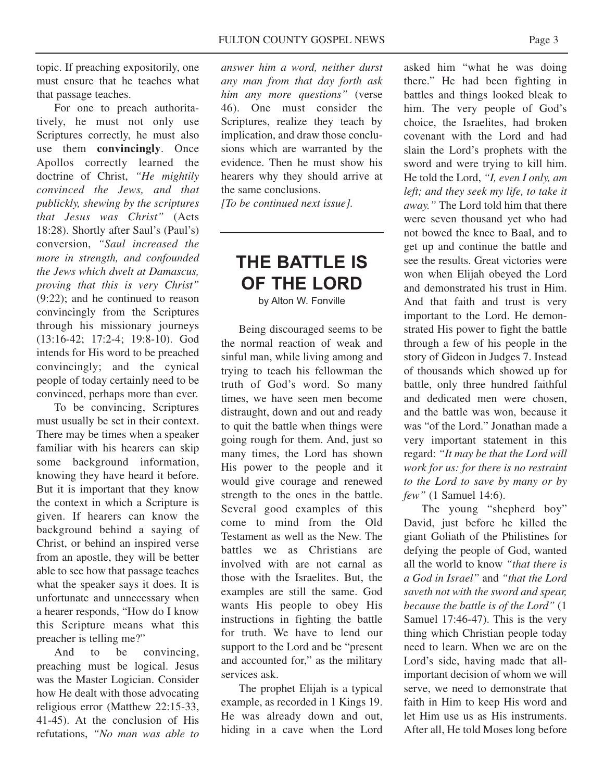topic. If preaching expositorily, one must ensure that he teaches what that passage teaches.

For one to preach authoritatively, he must not only use Scriptures correctly, he must also use them **convincingly**. Once Apollos correctly learned the doctrine of Christ, *"He mightily convinced the Jews, and that publickly, shewing by the scriptures that Jesus was Christ"* (Acts 18:28). Shortly after Saul's (Paul's) conversion, *"Saul increased the more in strength, and confounded the Jews which dwelt at Damascus, proving that this is very Christ"* (9:22); and he continued to reason convincingly from the Scriptures through his missionary journeys (13:16-42; 17:2-4; 19:8-10). God intends for His word to be preached convincingly; and the cynical people of today certainly need to be convinced, perhaps more than ever.

To be convincing, Scriptures must usually be set in their context. There may be times when a speaker familiar with his hearers can skip some background information, knowing they have heard it before. But it is important that they know the context in which a Scripture is given. If hearers can know the background behind a saying of Christ, or behind an inspired verse from an apostle, they will be better able to see how that passage teaches what the speaker says it does. It is unfortunate and unnecessary when a hearer responds, "How do I know this Scripture means what this preacher is telling me?"

And to be convincing, preaching must be logical. Jesus was the Master Logician. Consider how He dealt with those advocating religious error (Matthew 22:15-33, 41-45). At the conclusion of His refutations, *"No man was able to* *answer him a word, neither durst any man from that day forth ask him any more questions"* (verse 46). One must consider the Scriptures, realize they teach by implication, and draw those conclusions which are warranted by the evidence. Then he must show his hearers why they should arrive at the same conclusions.

*[To be continued next issue].*

## **THE BATTLE IS OF THE LORD**

by Alton W. Fonville

Being discouraged seems to be the normal reaction of weak and sinful man, while living among and trying to teach his fellowman the truth of God's word. So many times, we have seen men become distraught, down and out and ready to quit the battle when things were going rough for them. And, just so many times, the Lord has shown His power to the people and it would give courage and renewed strength to the ones in the battle. Several good examples of this come to mind from the Old Testament as well as the New. The battles we as Christians are involved with are not carnal as those with the Israelites. But, the examples are still the same. God wants His people to obey His instructions in fighting the battle for truth. We have to lend our support to the Lord and be "present and accounted for," as the military services ask.

The prophet Elijah is a typical example, as recorded in 1 Kings 19. He was already down and out, hiding in a cave when the Lord

asked him "what he was doing there." He had been fighting in battles and things looked bleak to him. The very people of God's choice, the Israelites, had broken covenant with the Lord and had slain the Lord's prophets with the sword and were trying to kill him. He told the Lord, *"I, even I only, am left; and they seek my life, to take it away."* The Lord told him that there were seven thousand yet who had not bowed the knee to Baal, and to get up and continue the battle and see the results. Great victories were won when Elijah obeyed the Lord and demonstrated his trust in Him. And that faith and trust is very important to the Lord. He demonstrated His power to fight the battle through a few of his people in the story of Gideon in Judges 7. Instead of thousands which showed up for battle, only three hundred faithful and dedicated men were chosen, and the battle was won, because it was "of the Lord." Jonathan made a very important statement in this regard: *"It may be that the Lord will work for us: for there is no restraint to the Lord to save by many or by few"* (1 Samuel 14:6).

The young "shepherd boy" David, just before he killed the giant Goliath of the Philistines for defying the people of God, wanted all the world to know *"that there is a God in Israel"* and *"that the Lord saveth not with the sword and spear, because the battle is of the Lord"* (1 Samuel 17:46-47). This is the very thing which Christian people today need to learn. When we are on the Lord's side, having made that allimportant decision of whom we will serve, we need to demonstrate that faith in Him to keep His word and let Him use us as His instruments. After all, He told Moses long before